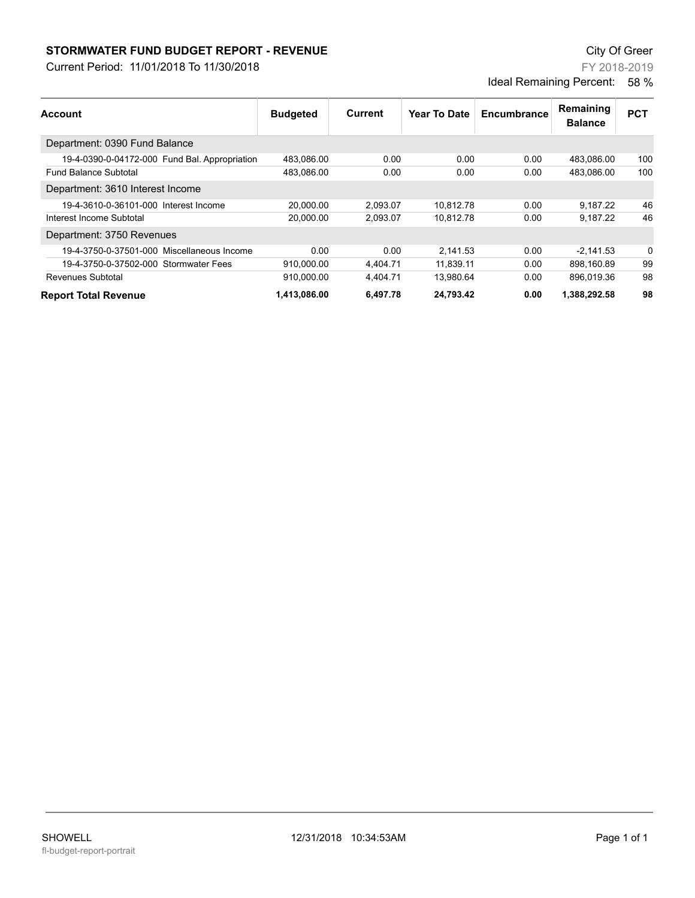## **STORMWATER FUND BUDGET REPORT - REVENUE City Of Greer** City Of Greer

Current Period: 11/01/2018 To 11/30/2018

FY 2018-2019 Ideal Remaining Percent: 58 %

| Account                                       | <b>Budgeted</b> | Current  | <b>Year To Date</b> | Encumbrance | Remaining<br><b>Balance</b> | <b>PCT</b> |
|-----------------------------------------------|-----------------|----------|---------------------|-------------|-----------------------------|------------|
|                                               |                 |          |                     |             |                             |            |
| 19-4-0390-0-04172-000 Fund Bal. Appropriation | 483.086.00      | 0.00     | 0.00                | 0.00        | 483.086.00                  | 100        |
| <b>Fund Balance Subtotal</b>                  | 483,086.00      | 0.00     | 0.00                | 0.00        | 483,086.00                  | 100        |
| Department: 3610 Interest Income              |                 |          |                     |             |                             |            |
| 19-4-3610-0-36101-000 Interest Income         | 20.000.00       | 2,093.07 | 10.812.78           | 0.00        | 9,187.22                    | 46         |
| Interest Income Subtotal                      | 20,000.00       | 2,093.07 | 10.812.78           | 0.00        | 9.187.22                    | 46         |
| Department: 3750 Revenues                     |                 |          |                     |             |                             |            |
| 19-4-3750-0-37501-000 Miscellaneous Income    | 0.00            | 0.00     | 2.141.53            | 0.00        | $-2.141.53$                 | 0          |
| 19-4-3750-0-37502-000 Stormwater Fees         | 910,000.00      | 4.404.71 | 11,839.11           | 0.00        | 898.160.89                  | 99         |
| Revenues Subtotal                             | 910.000.00      | 4,404.71 | 13.980.64           | 0.00        | 896.019.36                  | 98         |
| <b>Report Total Revenue</b>                   | 1,413,086.00    | 6,497.78 | 24,793.42           | 0.00        | 1,388,292.58                | 98         |